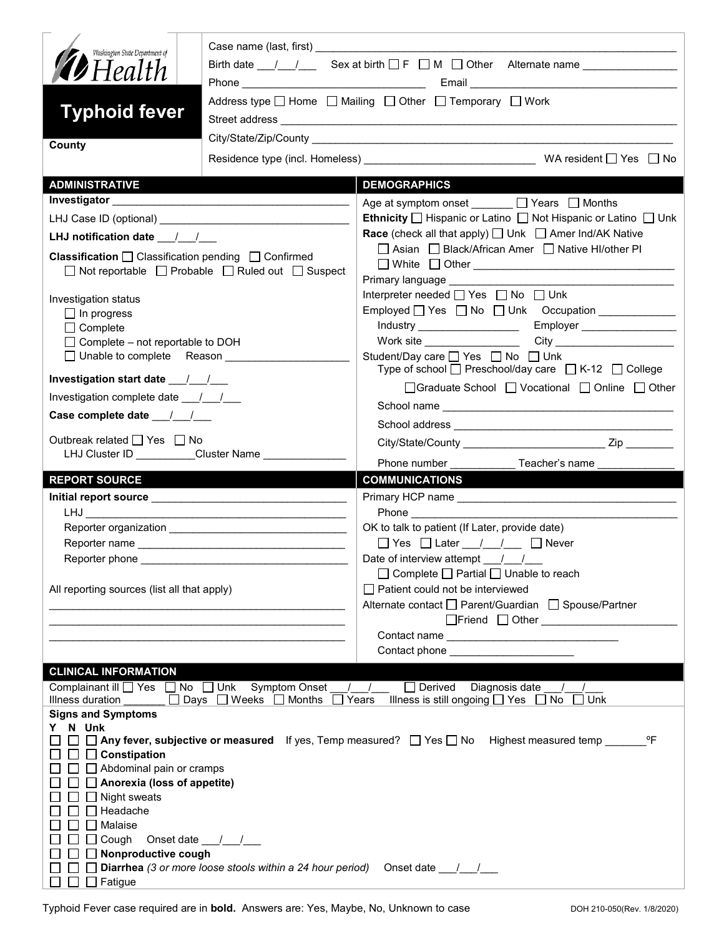| Washington State Department of<br><b>12</b> Health                                                                      |                                                                                   | Birth date $\frac{1}{\sqrt{1-\frac{1}{n}}}$ Sex at birth $\Box F$ $\Box M$ $\Box$ Other Alternate name $\Box$<br>Address type $\Box$ Home $\Box$ Mailing $\Box$ Other $\Box$ Temporary $\Box$ Work |  |  |
|-------------------------------------------------------------------------------------------------------------------------|-----------------------------------------------------------------------------------|----------------------------------------------------------------------------------------------------------------------------------------------------------------------------------------------------|--|--|
| <b>Typhoid fever</b><br>County                                                                                          |                                                                                   |                                                                                                                                                                                                    |  |  |
|                                                                                                                         |                                                                                   |                                                                                                                                                                                                    |  |  |
| <b>ADMINISTRATIVE</b>                                                                                                   |                                                                                   | <b>DEMOGRAPHICS</b>                                                                                                                                                                                |  |  |
|                                                                                                                         |                                                                                   | Age at symptom onset ______ □ Years □ Months                                                                                                                                                       |  |  |
|                                                                                                                         |                                                                                   | <b>Ethnicity</b> $\Box$ Hispanic or Latino $\Box$ Not Hispanic or Latino $\Box$ Unk                                                                                                                |  |  |
| LHJ notification date $\frac{1}{2}$                                                                                     |                                                                                   | <b>Race</b> (check all that apply) <u>□</u> Unk □ Amer Ind/AK Native                                                                                                                               |  |  |
| <b>Classification</b> $\Box$ Classification pending $\Box$ Confirmed                                                    | $\Box$ Not reportable $\Box$ Probable $\Box$ Ruled out $\Box$ Suspect             | □ Asian □ Black/African Amer □ Native HI/other PI<br>Primary language ____________                                                                                                                 |  |  |
|                                                                                                                         |                                                                                   | Interpreter needed [ Yes   No   Unk                                                                                                                                                                |  |  |
| Investigation status                                                                                                    |                                                                                   | Employed   Yes   No   Unk Occupation _____________                                                                                                                                                 |  |  |
| $\Box$ In progress<br>$\Box$ Complete                                                                                   |                                                                                   | Industry _____________________<br>Employer __________________                                                                                                                                      |  |  |
| $\Box$ Complete – not reportable to DOH                                                                                 |                                                                                   |                                                                                                                                                                                                    |  |  |
| □ Unable to complete Reason                                                                                             |                                                                                   | Student/Day care <sub>1</sub> Yes 1 No 1 Unk<br>Type of school $\Box$ Preschool/day care $\Box$ K-12 $\Box$ College                                                                                |  |  |
|                                                                                                                         |                                                                                   | □Graduate School □ Vocational □ Online □ Other                                                                                                                                                     |  |  |
| Investigation complete date ___/___/___                                                                                 |                                                                                   |                                                                                                                                                                                                    |  |  |
|                                                                                                                         |                                                                                   |                                                                                                                                                                                                    |  |  |
| Outbreak related □ Yes □ No<br>LHJ Cluster ID _________Cluster Name ______________                                      |                                                                                   |                                                                                                                                                                                                    |  |  |
|                                                                                                                         |                                                                                   | Phone number ____________ Teacher's name _____                                                                                                                                                     |  |  |
| <b>REPORT SOURCE</b>                                                                                                    |                                                                                   | <b>COMMUNICATIONS</b>                                                                                                                                                                              |  |  |
|                                                                                                                         |                                                                                   |                                                                                                                                                                                                    |  |  |
|                                                                                                                         |                                                                                   | OK to talk to patient (If Later, provide date)                                                                                                                                                     |  |  |
|                                                                                                                         |                                                                                   |                                                                                                                                                                                                    |  |  |
| Reporter phone                                                                                                          |                                                                                   | Date of interview attempt / /                                                                                                                                                                      |  |  |
|                                                                                                                         |                                                                                   | □ Complete □ Partial □ Unable to reach                                                                                                                                                             |  |  |
| All reporting sources (list all that apply)                                                                             |                                                                                   | Patient could not be interviewed                                                                                                                                                                   |  |  |
|                                                                                                                         |                                                                                   | Alternate contact □ Parent/Guardian □ Spouse/Partner                                                                                                                                               |  |  |
|                                                                                                                         |                                                                                   | □Friend □ Other <u>______________________</u>                                                                                                                                                      |  |  |
|                                                                                                                         |                                                                                   |                                                                                                                                                                                                    |  |  |
|                                                                                                                         |                                                                                   | Contact phone ________________________                                                                                                                                                             |  |  |
| <b>CLINICAL INFORMATION</b><br>Complainant ill <u>on</u> Yes <b>a</b> No <b>a</b> Unk Symptom Onset<br>Illness duration | <u>Days</u> Days DWeeks DMonths DYears                                            | / / □ Derived Diagnosis date<br>$\sqrt{1}$<br>Illness is still ongoing $\Box$ Yes $\Box$ No<br>Unk                                                                                                 |  |  |
| <b>Signs and Symptoms</b>                                                                                               |                                                                                   |                                                                                                                                                                                                    |  |  |
| Y N Unk                                                                                                                 |                                                                                   | $\Box$ Any fever, subjective or measured If yes, Temp measured? $\Box$ Yes $\Box$ No Highest measured temp<br>°F                                                                                   |  |  |
| □ Constipation<br>$\Box$ Abdominal pain or cramps                                                                       |                                                                                   |                                                                                                                                                                                                    |  |  |
| $\Box$ Anorexia (loss of appetite)                                                                                      |                                                                                   |                                                                                                                                                                                                    |  |  |
| $\Box$ Night sweats                                                                                                     |                                                                                   |                                                                                                                                                                                                    |  |  |
| Headache                                                                                                                |                                                                                   |                                                                                                                                                                                                    |  |  |
| Malaise                                                                                                                 |                                                                                   |                                                                                                                                                                                                    |  |  |
| Cough<br>Nonproductive cough                                                                                            | Onset date $\frac{1}{1}$                                                          |                                                                                                                                                                                                    |  |  |
|                                                                                                                         | Diarrhea (3 or more loose stools within a 24 hour period) Onset date ____________ |                                                                                                                                                                                                    |  |  |
| $\Box$ Fatigue                                                                                                          |                                                                                   |                                                                                                                                                                                                    |  |  |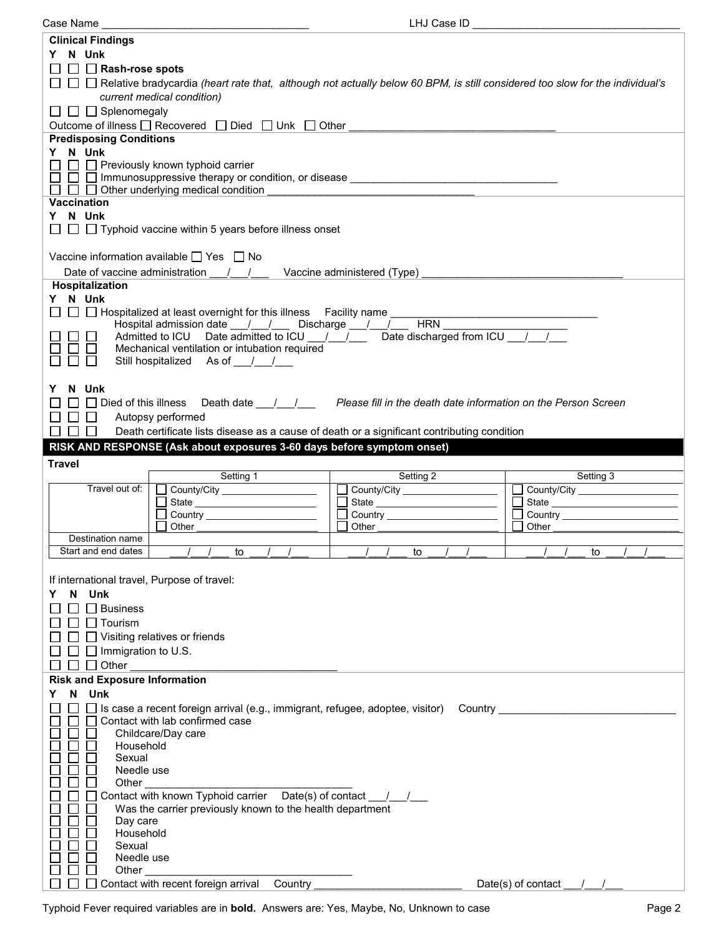| Case Name                                                                                                                                                                                                                      | LHJ Case ID                                                                                                                                                                                                                    |                                |
|--------------------------------------------------------------------------------------------------------------------------------------------------------------------------------------------------------------------------------|--------------------------------------------------------------------------------------------------------------------------------------------------------------------------------------------------------------------------------|--------------------------------|
| <b>Clinical Findings</b>                                                                                                                                                                                                       |                                                                                                                                                                                                                                |                                |
| Y N Unk                                                                                                                                                                                                                        |                                                                                                                                                                                                                                |                                |
| $\Box$ Rash-rose spots                                                                                                                                                                                                         |                                                                                                                                                                                                                                |                                |
| $\Box$ $\Box$ Relative bradycardia (heart rate that, although not actually below 60 BPM, is still considered too slow for the individual's                                                                                     |                                                                                                                                                                                                                                |                                |
| current medical condition)                                                                                                                                                                                                     |                                                                                                                                                                                                                                |                                |
|                                                                                                                                                                                                                                |                                                                                                                                                                                                                                |                                |
| $\Box$ $\Box$ Splenomegaly                                                                                                                                                                                                     |                                                                                                                                                                                                                                |                                |
| Outcome of illness □ Recovered □ Died □ Unk □ Other<br><b>Predisposing Conditions</b>                                                                                                                                          |                                                                                                                                                                                                                                |                                |
|                                                                                                                                                                                                                                |                                                                                                                                                                                                                                |                                |
| Y N Unk                                                                                                                                                                                                                        |                                                                                                                                                                                                                                |                                |
| $\Box$ Previously known typhoid carrier<br>$\Box$ $\Box$ Immunosuppressive therapy or condition, or disease $\Box$ . The conditional state of the conditional state of $\Box$                                                  |                                                                                                                                                                                                                                |                                |
| $\Box$ $\Box$ Other underlying medical condition                                                                                                                                                                               |                                                                                                                                                                                                                                |                                |
| Vaccination                                                                                                                                                                                                                    |                                                                                                                                                                                                                                |                                |
| Y N Unk                                                                                                                                                                                                                        |                                                                                                                                                                                                                                |                                |
| $\Box$ $\Box$ Typhoid vaccine within 5 years before illness onset                                                                                                                                                              |                                                                                                                                                                                                                                |                                |
|                                                                                                                                                                                                                                |                                                                                                                                                                                                                                |                                |
| Vaccine information available $\Box$ Yes $\Box$ No                                                                                                                                                                             |                                                                                                                                                                                                                                |                                |
|                                                                                                                                                                                                                                |                                                                                                                                                                                                                                |                                |
| Date of vaccine administration 1. 1. Vaccine administered (Type)                                                                                                                                                               |                                                                                                                                                                                                                                |                                |
| Hospitalization                                                                                                                                                                                                                |                                                                                                                                                                                                                                |                                |
| Y N Unk                                                                                                                                                                                                                        |                                                                                                                                                                                                                                |                                |
| $\Box$ Hospitalized at least overnight for this illness Facility name                                                                                                                                                          |                                                                                                                                                                                                                                |                                |
| Hospital admission date ___/___/ ____ Discharge ___/___/____ HRN ______<br>Admitted to ICU Date admitted to ICU / / Date discharged from ICU / /                                                                               |                                                                                                                                                                                                                                |                                |
| Mechanical ventilation or intubation required                                                                                                                                                                                  |                                                                                                                                                                                                                                |                                |
| Still hospitalized As of / /                                                                                                                                                                                                   |                                                                                                                                                                                                                                |                                |
|                                                                                                                                                                                                                                |                                                                                                                                                                                                                                |                                |
| N Unk                                                                                                                                                                                                                          |                                                                                                                                                                                                                                |                                |
|                                                                                                                                                                                                                                |                                                                                                                                                                                                                                |                                |
| $\Box$ $\Box$ Died of this illness<br>Death date $\frac{1}{\sqrt{2}}$                                                                                                                                                          | Please fill in the death date information on the Person Screen                                                                                                                                                                 |                                |
| Autopsy performed<br>$\Box$<br>$\Box$                                                                                                                                                                                          |                                                                                                                                                                                                                                |                                |
| Death certificate lists disease as a cause of death or a significant contributing condition<br>$\perp$                                                                                                                         |                                                                                                                                                                                                                                |                                |
|                                                                                                                                                                                                                                |                                                                                                                                                                                                                                |                                |
| RISK AND RESPONSE (Ask about exposures 3-60 days before symptom onset)                                                                                                                                                         |                                                                                                                                                                                                                                |                                |
| <b>Travel</b>                                                                                                                                                                                                                  |                                                                                                                                                                                                                                |                                |
| Setting 1                                                                                                                                                                                                                      |                                                                                                                                                                                                                                | Setting 3                      |
| Travel out of:                                                                                                                                                                                                                 | Setting 2                                                                                                                                                                                                                      |                                |
| County/City ____________________                                                                                                                                                                                               | County/City ____________________                                                                                                                                                                                               | County/City __________________ |
| State ____________________________                                                                                                                                                                                             | State                                                                                                                                                                                                                          |                                |
| Other the control of the control of the control of the control of the control of the control of the control of the control of the control of the control of the control of the control of the control of the control of the co | Other the control of the control of the control of the control of the control of the control of the control of the control of the control of the control of the control of the control of the control of the control of the co | <b>Other Community</b>         |
| Destination name                                                                                                                                                                                                               |                                                                                                                                                                                                                                |                                |
| Start and end dates<br>to                                                                                                                                                                                                      | to                                                                                                                                                                                                                             | to                             |
|                                                                                                                                                                                                                                |                                                                                                                                                                                                                                |                                |
| If international travel, Purpose of travel:                                                                                                                                                                                    |                                                                                                                                                                                                                                |                                |
| N Unk                                                                                                                                                                                                                          |                                                                                                                                                                                                                                |                                |
|                                                                                                                                                                                                                                |                                                                                                                                                                                                                                |                                |
| $\Box$ Business                                                                                                                                                                                                                |                                                                                                                                                                                                                                |                                |
| Tourism                                                                                                                                                                                                                        |                                                                                                                                                                                                                                |                                |
| $\Box$ Visiting relatives or friends                                                                                                                                                                                           |                                                                                                                                                                                                                                |                                |
| $\Box$ Immigration to U.S.                                                                                                                                                                                                     |                                                                                                                                                                                                                                |                                |
| $\Box$ Other                                                                                                                                                                                                                   |                                                                                                                                                                                                                                |                                |
| <b>Risk and Exposure Information</b>                                                                                                                                                                                           |                                                                                                                                                                                                                                |                                |
| N.<br>Unk                                                                                                                                                                                                                      |                                                                                                                                                                                                                                |                                |
| Is case a recent foreign arrival (e.g., immigrant, refugee, adoptee, visitor)                                                                                                                                                  |                                                                                                                                                                                                                                | <b>Country Country</b>         |
| Contact with lab confirmed case                                                                                                                                                                                                |                                                                                                                                                                                                                                |                                |
| Childcare/Day care                                                                                                                                                                                                             |                                                                                                                                                                                                                                |                                |
| Household                                                                                                                                                                                                                      |                                                                                                                                                                                                                                |                                |
| Sexual                                                                                                                                                                                                                         |                                                                                                                                                                                                                                |                                |
| Needle use                                                                                                                                                                                                                     |                                                                                                                                                                                                                                |                                |
| Other                                                                                                                                                                                                                          |                                                                                                                                                                                                                                |                                |
| Contact with known Typhoid carrier Date(s) of contact __________________________                                                                                                                                               |                                                                                                                                                                                                                                |                                |
| Was the carrier previously known to the health department                                                                                                                                                                      |                                                                                                                                                                                                                                |                                |
| Day care                                                                                                                                                                                                                       |                                                                                                                                                                                                                                |                                |
| Household<br>Sexual                                                                                                                                                                                                            |                                                                                                                                                                                                                                |                                |
| Needle use                                                                                                                                                                                                                     |                                                                                                                                                                                                                                |                                |
| Other                                                                                                                                                                                                                          |                                                                                                                                                                                                                                |                                |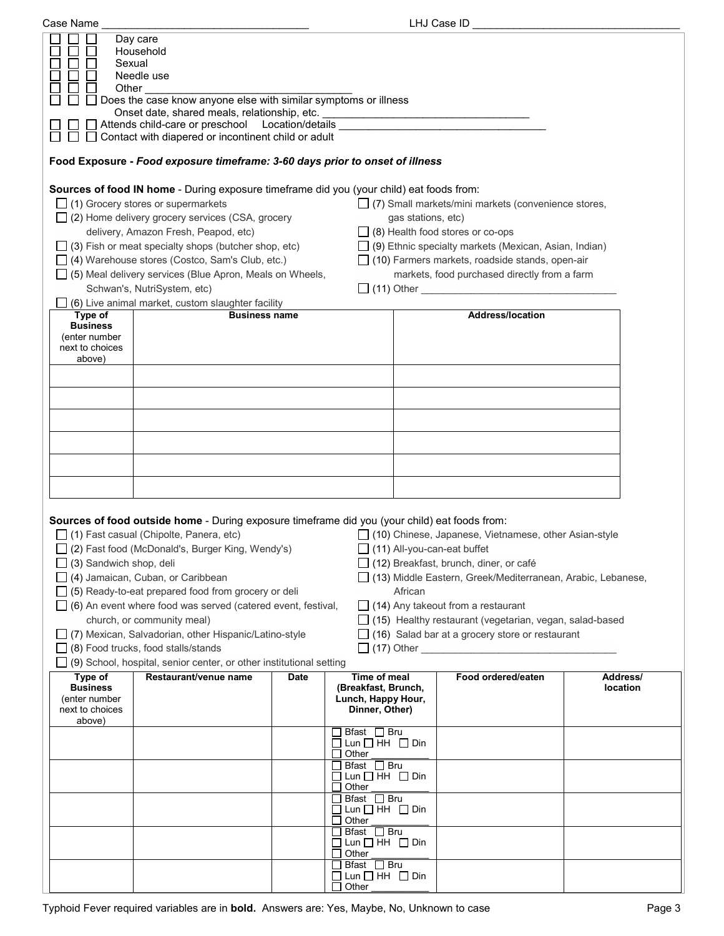| Case Name                                                                |                                                                                                                                                                                                                                                                                                                                                                                                                                                                                                                                                                                                             |             |                                                                                    |                    | LHJ Case ID                                                                                                                                                                                                                                                                                                                                                                                                        |                      |
|--------------------------------------------------------------------------|-------------------------------------------------------------------------------------------------------------------------------------------------------------------------------------------------------------------------------------------------------------------------------------------------------------------------------------------------------------------------------------------------------------------------------------------------------------------------------------------------------------------------------------------------------------------------------------------------------------|-------------|------------------------------------------------------------------------------------|--------------------|--------------------------------------------------------------------------------------------------------------------------------------------------------------------------------------------------------------------------------------------------------------------------------------------------------------------------------------------------------------------------------------------------------------------|----------------------|
| Sexual<br>Other                                                          | Day care<br>Household<br>Needle use<br>Does the case know anyone else with similar symptoms or illness<br>Onset date, shared meals, relationship, etc. ___________________________________<br>◯ Attends child-care or preschool Location/details ____________________________<br>$\Box$ Contact with diapered or incontinent child or adult                                                                                                                                                                                                                                                                 |             |                                                                                    |                    |                                                                                                                                                                                                                                                                                                                                                                                                                    |                      |
|                                                                          | Food Exposure - Food exposure timeframe: 3-60 days prior to onset of illness                                                                                                                                                                                                                                                                                                                                                                                                                                                                                                                                |             |                                                                                    |                    |                                                                                                                                                                                                                                                                                                                                                                                                                    |                      |
|                                                                          | Sources of food IN home - During exposure timeframe did you (your child) eat foods from:<br>$\Box$ (1) Grocery stores or supermarkets<br>$\Box$ (2) Home delivery grocery services (CSA, grocery<br>delivery, Amazon Fresh, Peapod, etc)<br>$\Box$ (3) Fish or meat specialty shops (butcher shop, etc)<br>$\Box$ (4) Warehouse stores (Costco, Sam's Club, etc.)<br>$\Box$ (5) Meal delivery services (Blue Apron, Meals on Wheels,<br>Schwan's, NutriSystem, etc)<br>(6) Live animal market, custom slaughter facility                                                                                    |             |                                                                                    | gas stations, etc) | $\Box$ (7) Small markets/mini markets (convenience stores,<br>$\Box$ (8) Health food stores or co-ops<br>$\Box$ (9) Ethnic specialty markets (Mexican, Asian, Indian)<br>$\Box$ (10) Farmers markets, roadside stands, open-air<br>markets, food purchased directly from a farm                                                                                                                                    |                      |
| Type of<br><b>Business</b>                                               | <b>Business name</b>                                                                                                                                                                                                                                                                                                                                                                                                                                                                                                                                                                                        |             |                                                                                    |                    | <b>Address/location</b>                                                                                                                                                                                                                                                                                                                                                                                            |                      |
| (enter number<br>next to choices<br>above)                               |                                                                                                                                                                                                                                                                                                                                                                                                                                                                                                                                                                                                             |             |                                                                                    |                    |                                                                                                                                                                                                                                                                                                                                                                                                                    |                      |
|                                                                          |                                                                                                                                                                                                                                                                                                                                                                                                                                                                                                                                                                                                             |             |                                                                                    |                    |                                                                                                                                                                                                                                                                                                                                                                                                                    |                      |
|                                                                          |                                                                                                                                                                                                                                                                                                                                                                                                                                                                                                                                                                                                             |             |                                                                                    |                    |                                                                                                                                                                                                                                                                                                                                                                                                                    |                      |
|                                                                          |                                                                                                                                                                                                                                                                                                                                                                                                                                                                                                                                                                                                             |             |                                                                                    |                    |                                                                                                                                                                                                                                                                                                                                                                                                                    |                      |
|                                                                          |                                                                                                                                                                                                                                                                                                                                                                                                                                                                                                                                                                                                             |             |                                                                                    |                    |                                                                                                                                                                                                                                                                                                                                                                                                                    |                      |
|                                                                          |                                                                                                                                                                                                                                                                                                                                                                                                                                                                                                                                                                                                             |             |                                                                                    |                    |                                                                                                                                                                                                                                                                                                                                                                                                                    |                      |
| $\Box$ (3) Sandwich shop, deli                                           | Sources of food outside home - During exposure timeframe did you (your child) eat foods from:<br>$\Box$ (1) Fast casual (Chipolte, Panera, etc)<br>□ (2) Fast food (McDonald's, Burger King, Wendy's)<br>$\Box$ (4) Jamaican, Cuban, or Caribbean<br>$\Box$ (5) Ready-to-eat prepared food from grocery or deli<br>$\Box$ (6) An event where food was served (catered event, festival,<br>church, or community meal)<br>□ (7) Mexican, Salvadorian, other Hispanic/Latino-style<br>$\Box$ (8) Food trucks, food stalls/stands<br>$\Box$ (9) School, hospital, senior center, or other institutional setting |             |                                                                                    | African            | $\Box$ (10) Chinese, Japanese, Vietnamese, other Asian-style<br>$\Box$ (11) All-you-can-eat buffet<br>$\Box$ (12) Breakfast, brunch, diner, or café<br>□ (13) Middle Eastern, Greek/Mediterranean, Arabic, Lebanese,<br>$\Box$ (14) Any takeout from a restaurant<br>$\Box$ (15) Healthy restaurant (vegetarian, vegan, salad-based<br>$\Box$ (16) Salad bar at a grocery store or restaurant<br>$\Box$ (17) Other |                      |
| Type of<br><b>Business</b><br>(enter number<br>next to choices<br>above) | Restaurant/venue name                                                                                                                                                                                                                                                                                                                                                                                                                                                                                                                                                                                       | <b>Date</b> | <b>Time of meal</b><br>(Breakfast, Brunch,<br>Lunch, Happy Hour,<br>Dinner, Other) |                    | Food ordered/eaten                                                                                                                                                                                                                                                                                                                                                                                                 | Address/<br>location |
|                                                                          |                                                                                                                                                                                                                                                                                                                                                                                                                                                                                                                                                                                                             |             | Brast $\Box$ Bru<br>$\Box$ Lun $\Box$ HH $\Box$ Din<br>Other                       |                    |                                                                                                                                                                                                                                                                                                                                                                                                                    |                      |
|                                                                          |                                                                                                                                                                                                                                                                                                                                                                                                                                                                                                                                                                                                             |             | Bfast $\Box$ Bru<br>$\Box$ Lun $\Box$ HH $\Box$ Din<br>Other                       |                    |                                                                                                                                                                                                                                                                                                                                                                                                                    |                      |
|                                                                          |                                                                                                                                                                                                                                                                                                                                                                                                                                                                                                                                                                                                             |             | $\Box$ Bfast $\Box$ Bru<br>$\Box$ Lun $\Box$ HH $\Box$ Din<br>Other                |                    |                                                                                                                                                                                                                                                                                                                                                                                                                    |                      |
|                                                                          |                                                                                                                                                                                                                                                                                                                                                                                                                                                                                                                                                                                                             |             | Bfast □ Bru<br>$\square$ Lun $\square$ HH $\square$ Din<br>Other                   |                    |                                                                                                                                                                                                                                                                                                                                                                                                                    |                      |
|                                                                          |                                                                                                                                                                                                                                                                                                                                                                                                                                                                                                                                                                                                             |             | Bfast □ Bru<br>$\Box$ Lun $\Box$ HH $\Box$ Din<br>Other                            |                    |                                                                                                                                                                                                                                                                                                                                                                                                                    |                      |
|                                                                          |                                                                                                                                                                                                                                                                                                                                                                                                                                                                                                                                                                                                             |             |                                                                                    |                    |                                                                                                                                                                                                                                                                                                                                                                                                                    |                      |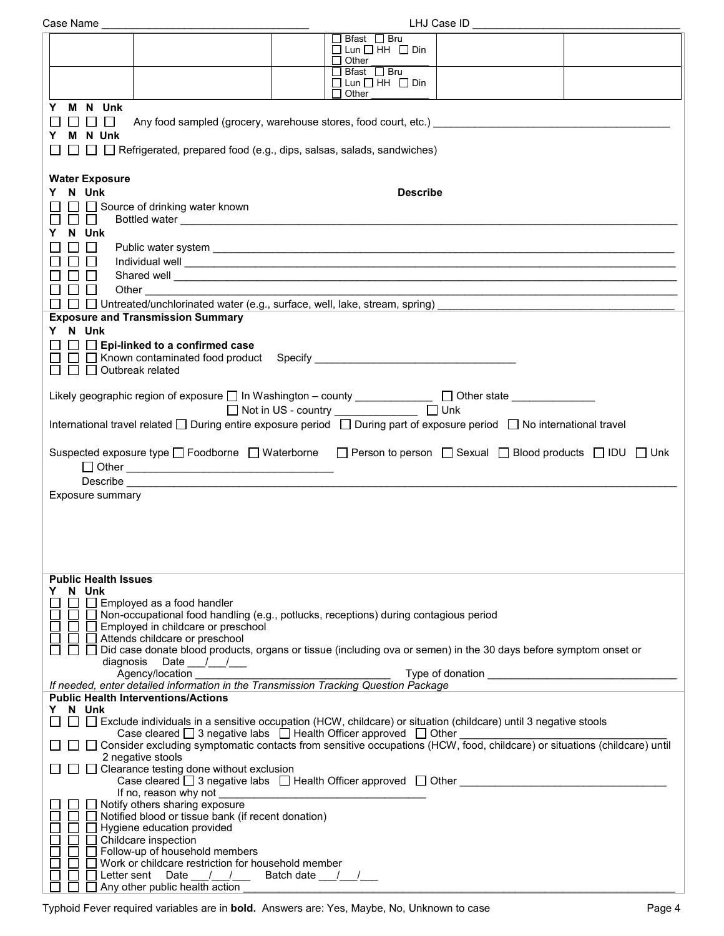| Case Name _                                                                                                                                                                             | LHJ Case ID _                                                                                                                                                                                                                                                                                                                                                                                                                                                          |  |
|-----------------------------------------------------------------------------------------------------------------------------------------------------------------------------------------|------------------------------------------------------------------------------------------------------------------------------------------------------------------------------------------------------------------------------------------------------------------------------------------------------------------------------------------------------------------------------------------------------------------------------------------------------------------------|--|
|                                                                                                                                                                                         | $\Box$ Bfast $\Box$ Bru<br>$\Box$ Lun $\Box$ HH $\Box$ Din                                                                                                                                                                                                                                                                                                                                                                                                             |  |
|                                                                                                                                                                                         | $\Box$ Other<br>$\Box$ Bfast $\Box$ Bru                                                                                                                                                                                                                                                                                                                                                                                                                                |  |
|                                                                                                                                                                                         | $\square$ Lun $\square$ HH $\square$ Din<br>$\Box$ Other                                                                                                                                                                                                                                                                                                                                                                                                               |  |
| Y M N Unk<br>$\mathbf{L}$<br>$\perp$<br>M N Unk<br>Y<br>$\Box$ $\Box$ Refrigerated, prepared food (e.g., dips, salsas, salads, sandwiches)                                              |                                                                                                                                                                                                                                                                                                                                                                                                                                                                        |  |
| <b>Water Exposure</b><br>Y N Unk<br>$\Box$ Source of drinking water known<br>$\Box$<br>$\perp$                                                                                          | <b>Describe</b>                                                                                                                                                                                                                                                                                                                                                                                                                                                        |  |
| N Unk<br>$\Box$<br>$\Box$<br>$\Box$<br>□□<br>Other                                                                                                                                      | Public water system experience and the contract of the contract of the contract of the contract of the contract of the contract of the contract of the contract of the contract of the contract of the contract of the contrac<br>Shared well <b>contract the contract of the contract of the contract of the contract of the contract of the contract of the contract of the contract of the contract of the contract of the contract of the contract of the cont</b> |  |
| $\Box$ $\Box$ Untreated/unchlorinated water (e.g., surface, well, lake, stream, spring)                                                                                                 |                                                                                                                                                                                                                                                                                                                                                                                                                                                                        |  |
| <b>Exposure and Transmission Summary</b><br>Y N Unk<br>$\Box$ Epi-linked to a confirmed case<br>$\Box$ $\Box$ Outbreak related                                                          |                                                                                                                                                                                                                                                                                                                                                                                                                                                                        |  |
|                                                                                                                                                                                         | Likely geographic region of exposure □ In Washington - county _____________ □ Other state __________<br>□ Not in US - country ______________ □ Unk                                                                                                                                                                                                                                                                                                                     |  |
|                                                                                                                                                                                         | International travel related □ During entire exposure period □ During part of exposure period □ No international travel                                                                                                                                                                                                                                                                                                                                                |  |
| Exposure summary                                                                                                                                                                        | Suspected exposure type □ Foodborne □ Waterborne □ Person to person □ Sexual □ Blood products □ IDU □ Unk                                                                                                                                                                                                                                                                                                                                                              |  |
| <b>Public Health Issues</b><br>Y N Unk<br>$\Box$ Employed as a food handler<br>$\Box$ $\Box$ Employed in childcare or preschool<br>Attends childcare or preschool<br>diagnosis Date $/$ | □ Non-occupational food handling (e.g., potlucks, receptions) during contagious period<br>□ Did case donate blood products, organs or tissue (including ova or semen) in the 30 days before symptom onset or                                                                                                                                                                                                                                                           |  |
| Agency/location                                                                                                                                                                         |                                                                                                                                                                                                                                                                                                                                                                                                                                                                        |  |
| If needed, enter detailed information in the Transmission Tracking Question Package<br><b>Public Health Interventions/Actions</b>                                                       |                                                                                                                                                                                                                                                                                                                                                                                                                                                                        |  |
| N Unk<br>Y.                                                                                                                                                                             | □ □ Exclude individuals in a sensitive occupation (HCW, childcare) or situation (childcare) until 3 negative stools<br>Case cleared $\Box$ 3 negative labs $\Box$ Health Officer approved $\Box$ Other<br>□ Consider excluding symptomatic contacts from sensitive occupations (HCW, food, childcare) or situations (childcare) until                                                                                                                                  |  |
| 2 negative stools<br>$\Box$ Clearance testing done without exclusion                                                                                                                    | Case cleared $\Box$ 3 negative labs $\Box$ Health Officer approved $\Box$ Other                                                                                                                                                                                                                                                                                                                                                                                        |  |
| Notify others sharing exposure<br>Notified blood or tissue bank (if recent donation)<br>Hygiene education provided<br>Childcare inspection<br>Follow-up of household members            |                                                                                                                                                                                                                                                                                                                                                                                                                                                                        |  |
| Work or childcare restriction for household member<br>Letter sent Date / /<br>Any other public health action                                                                            | Batch date $\frac{1}{\sqrt{1-\frac{1}{2}}}$                                                                                                                                                                                                                                                                                                                                                                                                                            |  |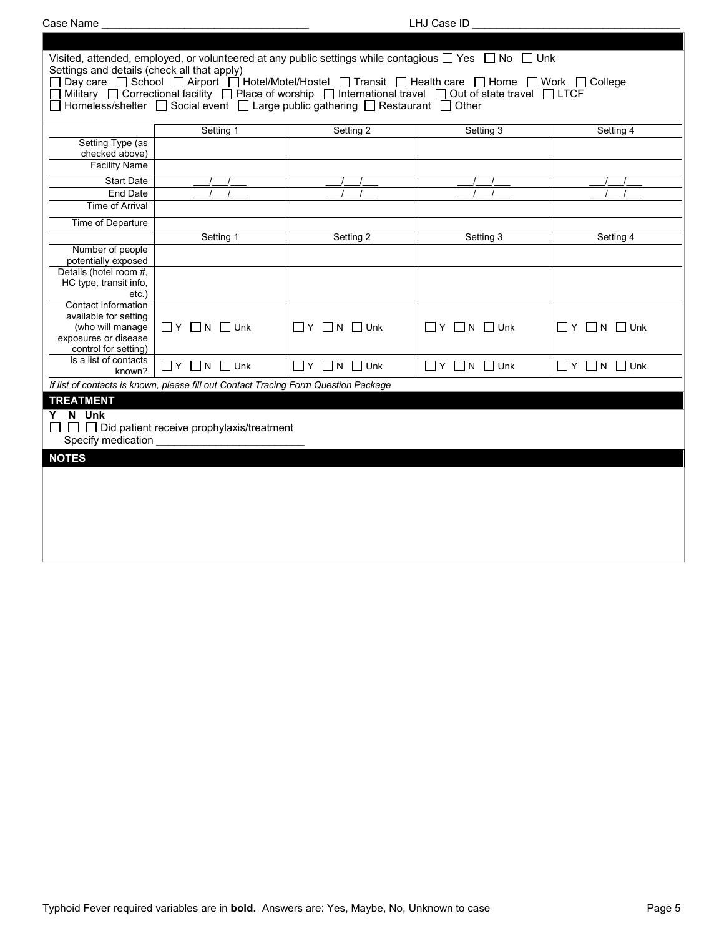| Settings and details (check all that apply)<br>Setting 1<br>Setting 1 | Homeless/shelter $\Box$ Social event $\Box$ Large public gathering $\Box$ Restaurant $\Box$ Other<br>Setting 2 | Visited, attended, employed, or volunteered at any public settings while contagious □ Yes □ No □ Unk<br>□ Day care □ School □ Airport □ Hotel/Motel/Hostel □ Transit □ Health care □ Home □ Work □ College<br>Military $\Box$ Correctional facility $\Box$ Place of worship $\Box$ International travel $\Box$ Out of state travel $\Box$ LTCF<br>Setting 3 | Setting 4                        |
|-----------------------------------------------------------------------|----------------------------------------------------------------------------------------------------------------|-------------------------------------------------------------------------------------------------------------------------------------------------------------------------------------------------------------------------------------------------------------------------------------------------------------------------------------------------------------|----------------------------------|
|                                                                       |                                                                                                                |                                                                                                                                                                                                                                                                                                                                                             |                                  |
|                                                                       |                                                                                                                |                                                                                                                                                                                                                                                                                                                                                             |                                  |
|                                                                       |                                                                                                                |                                                                                                                                                                                                                                                                                                                                                             |                                  |
|                                                                       |                                                                                                                |                                                                                                                                                                                                                                                                                                                                                             |                                  |
|                                                                       |                                                                                                                |                                                                                                                                                                                                                                                                                                                                                             |                                  |
|                                                                       |                                                                                                                |                                                                                                                                                                                                                                                                                                                                                             |                                  |
|                                                                       |                                                                                                                |                                                                                                                                                                                                                                                                                                                                                             |                                  |
|                                                                       |                                                                                                                |                                                                                                                                                                                                                                                                                                                                                             |                                  |
|                                                                       | Setting 2                                                                                                      | Setting 3                                                                                                                                                                                                                                                                                                                                                   | Setting 4                        |
|                                                                       |                                                                                                                |                                                                                                                                                                                                                                                                                                                                                             |                                  |
|                                                                       |                                                                                                                |                                                                                                                                                                                                                                                                                                                                                             |                                  |
| $\Box$ Y $\Box$ N $\Box$ Unk                                          | $\Box$ $Y$ $\Box$ N $\Box$ Unk                                                                                 | $\Box$ Y $\Box$ N $\Box$ Unk                                                                                                                                                                                                                                                                                                                                | $\Box$ $Y$ $\Box$ $N$ $\Box$ Unk |
| $\Box$ Y $\Box$ N $\Box$ Unk                                          | $\Box$ Y $\Box$ N $\Box$ Unk                                                                                   | $\Box$ Y $\Box$ N $\Box$ Unk                                                                                                                                                                                                                                                                                                                                | $\Box$ Y $\Box$ N $\Box$ Unk     |
|                                                                       |                                                                                                                |                                                                                                                                                                                                                                                                                                                                                             |                                  |
|                                                                       |                                                                                                                |                                                                                                                                                                                                                                                                                                                                                             |                                  |
|                                                                       |                                                                                                                |                                                                                                                                                                                                                                                                                                                                                             |                                  |
|                                                                       |                                                                                                                | If list of contacts is known, please fill out Contact Tracing Form Question Package<br>$\Box$ $\Box$ Did patient receive prophylaxis/treatment                                                                                                                                                                                                              |                                  |